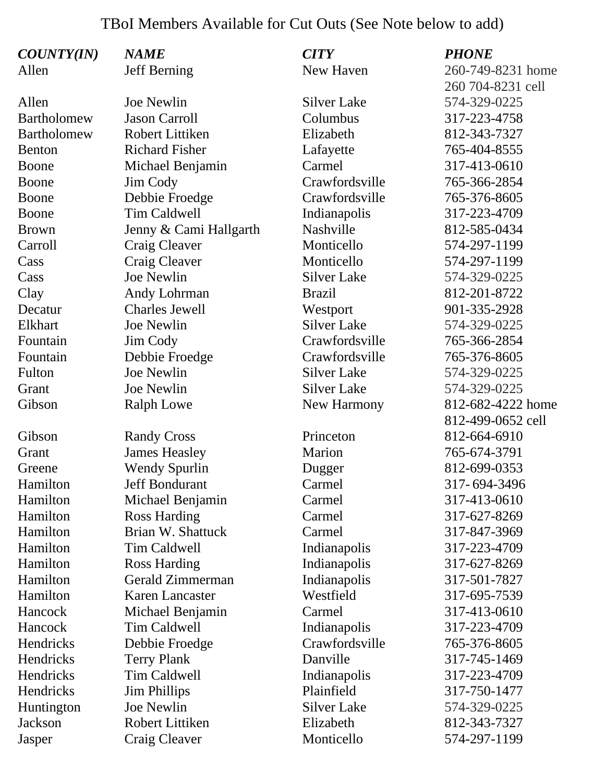## TBoI Members Available for Cut Outs (See Note below to add)

| <b>COUNTY(IN)</b>  | <i><b>NAME</b></i>     | <b>CITY</b>        | <b>PHONE</b>      |
|--------------------|------------------------|--------------------|-------------------|
| Allen              | <b>Jeff Berning</b>    | New Haven          | 260-749-8231 home |
|                    |                        |                    | 260 704-8231 cell |
| Allen              | Joe Newlin             | <b>Silver Lake</b> | 574-329-0225      |
| <b>Bartholomew</b> | <b>Jason Carroll</b>   | Columbus           | 317-223-4758      |
| <b>Bartholomew</b> | <b>Robert Littiken</b> | Elizabeth          | 812-343-7327      |
| <b>Benton</b>      | <b>Richard Fisher</b>  | Lafayette          | 765-404-8555      |
| Boone              | Michael Benjamin       | Carmel             | 317-413-0610      |
| Boone              | Jim Cody               | Crawfordsville     | 765-366-2854      |
| Boone              | Debbie Froedge         | Crawfordsville     | 765-376-8605      |
| Boone              | <b>Tim Caldwell</b>    | Indianapolis       | 317-223-4709      |
| <b>Brown</b>       | Jenny & Cami Hallgarth | Nashville          | 812-585-0434      |
| Carroll            | Craig Cleaver          | Monticello         | 574-297-1199      |
| Cass               | Craig Cleaver          | Monticello         | 574-297-1199      |
| Cass               | <b>Joe Newlin</b>      | <b>Silver Lake</b> | 574-329-0225      |
| Clay               | Andy Lohrman           | <b>Brazil</b>      | 812-201-8722      |
| Decatur            | <b>Charles Jewell</b>  | Westport           | 901-335-2928      |
| Elkhart            | Joe Newlin             | <b>Silver Lake</b> | 574-329-0225      |
| Fountain           | Jim Cody               | Crawfordsville     | 765-366-2854      |
| Fountain           | Debbie Froedge         | Crawfordsville     | 765-376-8605      |
| Fulton             | <b>Joe Newlin</b>      | <b>Silver Lake</b> | 574-329-0225      |
| Grant              | Joe Newlin             | <b>Silver Lake</b> | 574-329-0225      |
| Gibson             | <b>Ralph Lowe</b>      | New Harmony        | 812-682-4222 home |
|                    |                        |                    | 812-499-0652 cell |
| Gibson             | <b>Randy Cross</b>     | Princeton          | 812-664-6910      |
| Grant              | <b>James Heasley</b>   | Marion             | 765-674-3791      |
| Greene             | <b>Wendy Spurlin</b>   | Dugger             | 812-699-0353      |
| Hamilton           | <b>Jeff Bondurant</b>  | Carmel             | 317-694-3496      |
| Hamilton           | Michael Benjamin       | Carmel             | 317-413-0610      |
| Hamilton           | <b>Ross Harding</b>    | Carmel             | 317-627-8269      |
| Hamilton           | Brian W. Shattuck      | Carmel             | 317-847-3969      |
| Hamilton           | Tim Caldwell           | Indianapolis       | 317-223-4709      |
| Hamilton           | <b>Ross Harding</b>    | Indianapolis       | 317-627-8269      |
| Hamilton           | Gerald Zimmerman       | Indianapolis       | 317-501-7827      |
| Hamilton           | <b>Karen Lancaster</b> | Westfield          | 317-695-7539      |
| Hancock            | Michael Benjamin       | Carmel             | 317-413-0610      |
| Hancock            | Tim Caldwell           | Indianapolis       | 317-223-4709      |
| Hendricks          | Debbie Froedge         | Crawfordsville     | 765-376-8605      |
| Hendricks          | <b>Terry Plank</b>     | Danville           | 317-745-1469      |
| Hendricks          | <b>Tim Caldwell</b>    | Indianapolis       | 317-223-4709      |
| Hendricks          | <b>Jim Phillips</b>    | Plainfield         | 317-750-1477      |
| Huntington         | <b>Joe Newlin</b>      | <b>Silver Lake</b> | 574-329-0225      |
| Jackson            | <b>Robert Littiken</b> | Elizabeth          | 812-343-7327      |
| Jasper             | Craig Cleaver          | Monticello         | 574-297-1199      |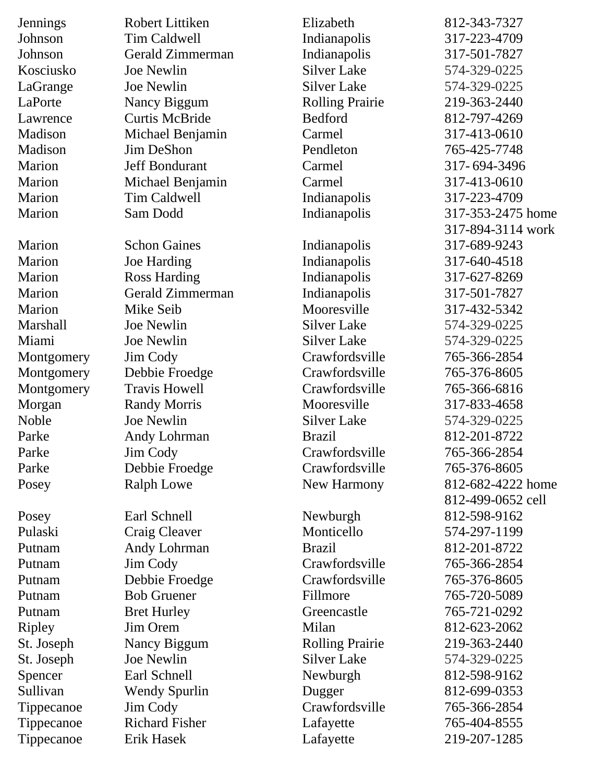| <b>Jennings</b> | Robert Littiken       | Elizabeth              | 812-343-7327      |
|-----------------|-----------------------|------------------------|-------------------|
| Johnson         | <b>Tim Caldwell</b>   | Indianapolis           | 317-223-4709      |
| Johnson         | Gerald Zimmerman      | Indianapolis           | 317-501-7827      |
| Kosciusko       | Joe Newlin            | <b>Silver Lake</b>     | 574-329-0225      |
| LaGrange        | Joe Newlin            | <b>Silver Lake</b>     | 574-329-0225      |
| LaPorte         | Nancy Biggum          | <b>Rolling Prairie</b> | 219-363-2440      |
| Lawrence        | <b>Curtis McBride</b> | <b>Bedford</b>         | 812-797-4269      |
| Madison         | Michael Benjamin      | Carmel                 | 317-413-0610      |
| Madison         | <b>Jim DeShon</b>     | Pendleton              | 765-425-7748      |
| Marion          | Jeff Bondurant        | Carmel                 | 317-694-3496      |
| Marion          | Michael Benjamin      | Carmel                 | 317-413-0610      |
| Marion          | <b>Tim Caldwell</b>   | Indianapolis           | 317-223-4709      |
| Marion          | Sam Dodd              | Indianapolis           | 317-353-2475 home |
|                 |                       |                        | 317-894-3114 work |
| Marion          | <b>Schon Gaines</b>   | Indianapolis           | 317-689-9243      |
| Marion          | <b>Joe Harding</b>    | Indianapolis           | 317-640-4518      |
| Marion          | <b>Ross Harding</b>   | Indianapolis           | 317-627-8269      |
| Marion          | Gerald Zimmerman      | Indianapolis           | 317-501-7827      |
| Marion          | Mike Seib             | Mooresville            | 317-432-5342      |
| <b>Marshall</b> | Joe Newlin            | <b>Silver Lake</b>     | 574-329-0225      |
| Miami           | Joe Newlin            | <b>Silver Lake</b>     | 574-329-0225      |
| Montgomery      | Jim Cody              | Crawfordsville         | 765-366-2854      |
| Montgomery      | Debbie Froedge        | Crawfordsville         | 765-376-8605      |
| Montgomery      | <b>Travis Howell</b>  | Crawfordsville         | 765-366-6816      |
| Morgan          | <b>Randy Morris</b>   | Mooresville            | 317-833-4658      |
| Noble           | Joe Newlin            | <b>Silver Lake</b>     | 574-329-0225      |
| Parke           | Andy Lohrman          | <b>Brazil</b>          | 812-201-8722      |
| Parke           | Jim Cody              | Crawfordsville         | 765-366-2854      |
| Parke           | Debbie Froedge        | Crawfordsville         | 765-376-8605      |
| Posey           | <b>Ralph Lowe</b>     | New Harmony            | 812-682-4222 home |
|                 |                       |                        | 812-499-0652 cell |
| Posey           | Earl Schnell          | Newburgh               | 812-598-9162      |
| Pulaski         | Craig Cleaver         | Monticello             | 574-297-1199      |
| Putnam          | Andy Lohrman          | <b>Brazil</b>          | 812-201-8722      |
| Putnam          | Jim Cody              | Crawfordsville         | 765-366-2854      |
| Putnam          | Debbie Froedge        | Crawfordsville         | 765-376-8605      |
| Putnam          | <b>Bob Gruener</b>    | Fillmore               | 765-720-5089      |
| Putnam          | <b>Bret Hurley</b>    | Greencastle            | 765-721-0292      |
| <b>Ripley</b>   | Jim Orem              | Milan                  | 812-623-2062      |
| St. Joseph      | Nancy Biggum          | <b>Rolling Prairie</b> | 219-363-2440      |
| St. Joseph      | Joe Newlin            | <b>Silver Lake</b>     | 574-329-0225      |
| Spencer         | Earl Schnell          | Newburgh               | 812-598-9162      |
| Sullivan        | <b>Wendy Spurlin</b>  | Dugger                 | 812-699-0353      |
| Tippecanoe      | Jim Cody              | Crawfordsville         | 765-366-2854      |
| Tippecanoe      | <b>Richard Fisher</b> | Lafayette              | 765-404-8555      |
| Tippecanoe      | Erik Hasek            | Lafayette              | 219-207-1285      |